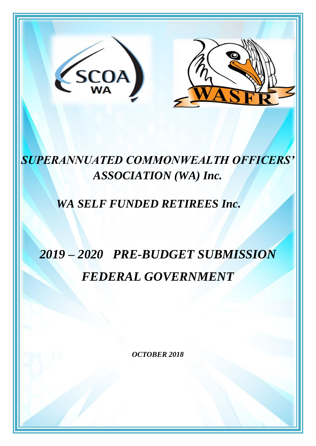

# *SUPERANNUATED COMMONWEALTH OFFICERS' ASSOCIATION (WA) Inc.*

## *WA SELF FUNDED RETIREES Inc.*

# *2019 – 2020 PRE-BUDGET SUBMISSION FEDERAL GOVERNMENT*

*OCTOBER 2018*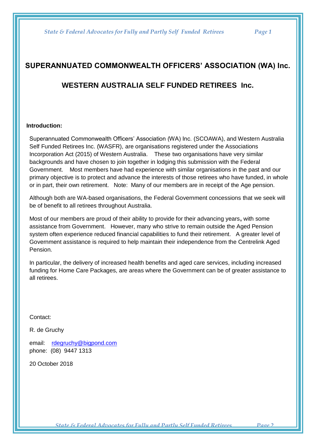## **SUPERANNUATED COMMONWEALTH OFFICERS' ASSOCIATION (WA) Inc.**

### **WESTERN AUSTRALIA SELF FUNDED RETIREES Inc.**

#### **Introduction:**

Superannuated Commonwealth Officers' Association (WA) Inc. (SCOAWA), and Western Australia Self Funded Retirees Inc. (WASFR), are organisations registered under the Associations Incorporation Act (2015) of Western Australia. These two organisations have very similar backgrounds and have chosen to join together in lodging this submission with the Federal Government. Most members have had experience with similar organisations in the past and our primary objective is to protect and advance the interests of those retirees who have funded, in whole or in part, their own retirement. Note: Many of our members are in receipt of the Age pension.

Although both are WA-based organisations, the Federal Government concessions that we seek will be of benefit to all retirees throughout Australia.

Most of our members are proud of their ability to provide for their advancing years**,** with some assistance from Government. However, many who strive to remain outside the Aged Pension system often experience reduced financial capabilities to fund their retirement. A greater level of Government assistance is required to help maintain their independence from the Centrelink Aged Pension.

In particular, the delivery of increased health benefits and aged care services, including increased funding for Home Care Packages, are areas where the Government can be of greater assistance to all retirees.

Contact:

R. de Gruchy

email: [rdegruchy@bigpond.com](mailto:rdegruchy@bigpond.com)  phone: (08) 9447 1313

20 October 2018

 *State & Federal Advocates for Fully and Partly Self Funded Retirees Page 2*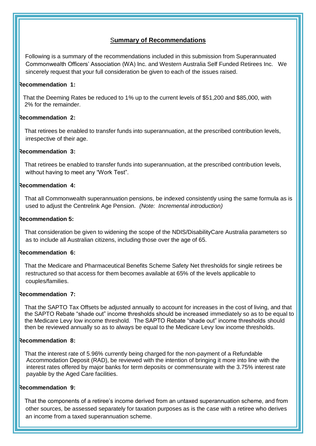#### S**ummary of Recommendations**

 Following is a summary of the recommendations included in this submission from Superannuated Commonwealth Officers' Association (WA) Inc. and Western Australia Self Funded Retirees Inc. We sincerely request that your full consideration be given to each of the issues raised.

#### **Recommendation 1:**

 That the Deeming Rates be reduced to 1% up to the current levels of \$51,200 and \$85,000, with 2% for the remainder.

#### **Recommendation 2:**

 That retirees be enabled to transfer funds into superannuation, at the prescribed contribution levels, irrespective of their age.

#### **Recommendation 3:**

 That retirees be enabled to transfer funds into superannuation, at the prescribed contribution levels, without having to meet any "Work Test".

#### **Recommendation 4:**

 That all Commonwealth superannuation pensions, be indexed consistently using the same formula as is used to adjust the Centrelink Age Pension. *(Note: Incremental introduction)*

#### **Recommendation 5:**

That consideration be given to widening the scope of the NDIS/DisabilityCare Australia parameters so as to include all Australian citizens, including those over the age of 65.

#### **Recommendation 6:**

 That the Medicare and Pharmaceutical Benefits Scheme Safety Net thresholds for single retirees be restructured so that access for them becomes available at 65% of the levels applicable to couples/families.

#### **Recommendation 7:**

That the SAPTO Tax Offsets be adjusted annually to account for increases in the cost of living, and that the SAPTO Rebate "shade out" income thresholds should be increased immediately so as to be equal to the Medicare Levy low income threshold. The SAPTO Rebate "shade out" income thresholds should then be reviewed annually so as to always be equal to the Medicare Levy low income thresholds.

#### **Recommendation 8:**

 That the interest rate of 5.96% currently being charged for the non-payment of a Refundable Accommodation Deposit (RAD), be reviewed with the intention of bringing it more into line with the interest rates offered by major banks for term deposits or commensurate with the 3.75% interest rate payable by the Aged Care facilities.

#### **Recommendation 9:**

 That the components of a retiree's income derived from an untaxed superannuation scheme, and from other sources, be assessed separately for taxation purposes as is the case with a retiree who derives an income from a taxed superannuation scheme.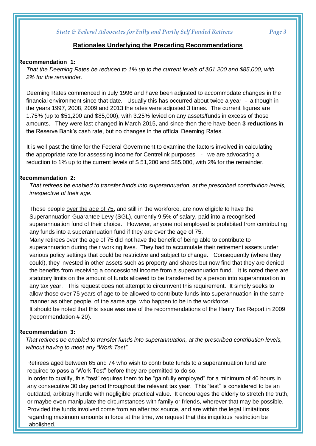#### **Rationales Underlying the Preceding Recommendations**

#### **Recommendation 1:**

 *That the Deeming Rates be reduced to 1% up to the current levels of \$51,200 and \$85,000, with 2% for the remainder.*

Deeming Rates commenced in July 1996 and have been adjusted to accommodate changes in the financial environment since that date. Usually this has occurred about twice a year - although in the years 1997, 2008, 2009 and 2013 the rates were adjusted 3 times. The current figures are 1.75% (up to \$51,200 and \$85,000), with 3.25% levied on any assets/funds in excess of those amounts. They were last changed in March 2015, and since then there have been **3 reductions** in the Reserve Bank's cash rate, but no changes in the official Deeming Rates.

 It is well past the time for the Federal Government to examine the factors involved in calculating the appropriate rate for assessing income for Centrelink purposes - we are advocating a reduction to 1% up to the current levels of \$ 51,200 and \$85,000, with 2% for the remainder.

#### **Recommendation 2:**

*That retirees be enabled to transfer funds into superannuation, at the prescribed contribution levels, irrespective of their age.* 

Those people over the age of 75, and still in the workforce, are now eligible to have the Superannuation Guarantee Levy (SGL), currently 9.5% of salary, paid into a recognised superannuation fund of their choice. However, anyone not employed is prohibited from contributing any funds into a superannuation fund if they are over the age of 75.

Many retirees over the age of 75 did not have the benefit of being able to contribute to superannuation during their working lives. They had to accumulate their retirement assets under various policy settings that could be restrictive and subject to change. Consequently (where they could), they invested in other assets such as property and shares but now find that they are denied the benefits from receiving a concessional income from a superannuation fund. It is noted there are statutory limits on the amount of funds allowed to be transferred by a person into superannuation in any tax year. This request does not attempt to circumvent this requirement. It simply seeks to allow those over 75 years of age to be allowed to contribute funds into superannuation in the same manner as other people, of the same age, who happen to be in the workforce.

It should be noted that this issue was one of the recommendations of the Henry Tax Report in 2009 (recommendation # 20).

#### **Recommendation 3:**

*That retirees be enabled to transfer funds into superannuation, at the prescribed contribution levels, without having to meet any "Work Test".*

Retirees aged between 65 and 74 who wish to contribute funds to a superannuation fund are required to pass a "Work Test" before they are permitted to do so.

In order to qualify, this "test" requires them to be "gainfully employed" for a minimum of 40 hours in any consecutive 30 day period throughout the relevant tax year. This "test" is considered to be an outdated, arbitrary hurdle with negligible practical value. It encourages the elderly to stretch the truth, or maybe even manipulate the circumstances with family or friends, wherever that may be possible. Provided the funds involved come from an after tax source, and are within the legal limitations regarding maximum amounts in force at the time, we request that this iniquitous restriction be abolished.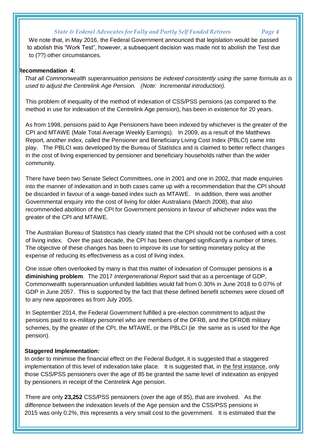We note that, in May 2016, the Federal Government announced that legislation would be passed to abolish this "Work Test", however, a subsequent decision was made not to abolish the Test due to (??) other circumstances.

#### **Recommendation 4:**

 *That all Commonwealth superannuation pensions be indexed consistently using the same formula as is used to adjust the Centrelink Age Pension. (Note: Incremental introduction).*

This problem of inequality of the method of indexation of CSS/PSS pensions (as compared to the method in use for indexation of the Centrelink Age pension), has been in existence for 20 years.

As from 1998, pensions paid to Age Pensioners have been indexed by whichever is the greater of the CPI and MTAWE (Male Total Average Weekly Earnings). In 2009, as a result of the Matthews Report, another index, called the Pensioner and Beneficiary Living Cost Index (PBLCI) came into play. The PBLCI was developed by the Bureau of Statistics and is claimed to better reflect changes in the cost of living experienced by pensioner and beneficiary households rather than the wider community.

There have been two Senate Select Committees, one in 2001 and one in 2002, that made enquiries into the manner of indexation and in both cases came up with a recommendation that the CPI should be discarded in favour of a wage-based index such as MTAWE. In addition, there was another Governmental enquiry into the cost of living for older Australians (March 2008), that also recommended abolition of the CPI for Government pensions in favour of whichever index was the greater of the CPI and MTAWE.

The Australian Bureau of Statistics has clearly stated that the CPI should not be confused with a cost of living index. Over the past decade, the CPI has been changed significantly a number of times. The objective of these changes has been to improve its use for setting monetary policy at the expense of reducing its effectiveness as a cost of living index.

One issue often overlooked by many is that this matter of indexation of Comsuper pensions is **a diminishing problem**. The 2017 *Intergenerational Report* said that as a percentage of GDP, Commonwealth superannuation unfunded liabilities would fall from 0.30% in June 2018 to 0.07% of GDP in June 2057. This is supported by the fact that these defined benefit schemes were closed off to any new appointees as from July 2005.

In September 2014, the Federal Government fulfilled a pre-election commitment to adjust the pensions paid to ex-military personnel who are members of the DFRB, and the DFRDB military schemes, by the greater of the CPI, the MTAWE, or the PBLCI (ie the same as is used for the Age pension).

#### **Staggered Implementation:**

I

 In order to minimise the financial effect on the Federal Budget, it is suggested that a staggered implementation of this level of indexation take place. It is suggested that, in the first instance, only those CSS/PSS pensioners over the age of 85 be granted the same level of indexation as enjoyed by pensioners in receipt of the Centrelink Age pension.

 There are only **23,252** CSS/PSS pensioners (over the age of 85), that are involved. As the difference between the indexation levels of the Age pension and the CSS/PSS pensions in 2015 was only 0.2%, this represents a very small cost to the government. It is estimated that the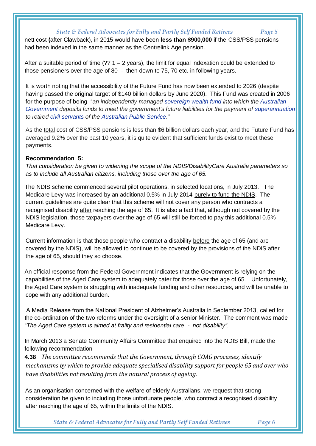nett cost **(**after Clawback), in 2015 would have been **less than \$900,000** if the CSS/PSS pensions had been indexed in the same manner as the Centrelink Age pension.

After a suitable period of time  $(?) 1 - 2$  years), the limit for equal indexation could be extended to those pensioners over the age of 80 - then down to 75, 70 etc. in following years.

It is worth noting that the accessibility of the Future Fund has now been extended to 2026 (despite having passed the original target of \$140 billion dollars by June 2020). This Fund was created in 2006 for the purpose of being "*an independently managed [sovereign wealth fund](https://en.wikipedia.org/wiki/Sovereign_wealth_fund) into which the [Australian](https://en.wikipedia.org/wiki/Australian_Government)  [Government](https://en.wikipedia.org/wiki/Australian_Government) deposits funds to meet the government's future liabilities for the payment of [superannuation](https://en.wikipedia.org/wiki/Superannuation) to retired [civil servants](https://en.wikipedia.org/wiki/Civil_servants) of the [Australian Public Service.](https://en.wikipedia.org/wiki/Australian_Public_Service)"*

As the total cost of CSS/PSS pensions is less than \$6 billion dollars each year, and the Future Fund has averaged 9.2% over the past 10 years, it is quite evident that sufficient funds exist to meet these payments.

#### **Recommendation 5:**

*That consideration be given to widening the scope of the NDIS/DisabilityCare Australia parameters so as to include all Australian citizens, including those over the age of 65.*

 The NDIS scheme commenced several pilot operations, in selected locations, in July 2013. The Medicare Levy was increased by an additional 0.5% in July 2014 purely to fund the NDIS. The current guidelines are quite clear that this scheme will not cover any person who contracts a recognised disability after reaching the age of 65. It is also a fact that, although not covered by the NDIS legislation, those taxpayers over the age of 65 will still be forced to pay this additional 0.5% Medicare Levy.

Current information is that those people who contract a disability before the age of 65 (and are covered by the NDIS), will be allowed to continue to be covered by the provisions of the NDIS after the age of 65, should they so choose.

 An official response from the Federal Government indicates that the Government is relying on the capabilities of the Aged Care system to adequately cater for those over the age of 65. Unfortunately, the Aged Care system is struggling with inadequate funding and other resources, and will be unable to cope with any additional burden.

 A Media Release from the National President of Alzheimer's Australia in September 2013, called for the co-ordination of the two reforms under the oversight of a senior Minister. The comment was made "*The Aged Care system is aimed at frailty and residential care - not disability".*

 In March 2013 a Senate Community Affairs Committee that enquired into the NDIS Bill, made the following recommendation

 **4.38** *The committee recommends that the Government, through COAG processes, identify mechanisms by which to provide adequate specialised disability support for people 65 and over who have disabilities not resulting from the natural process of ageing.*

 As an organisation concerned with the welfare of elderly Australians, we request that strong consideration be given to including those unfortunate people, who contract a recognised disability after reaching the age of 65, within the limits of the NDIS.

*State & Federal Advocates for Fully and Partly Self Funded Retirees Page 6*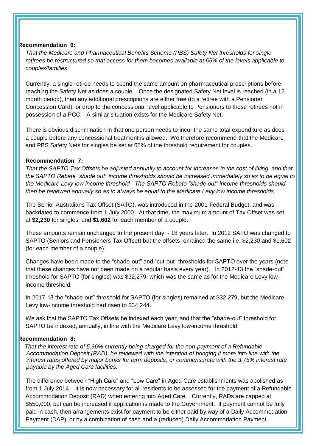#### **Recommendation 6:**

*That the Medicare and Pharmaceutical Benefits Scheme (PBS) Safety Net thresholds for single retirees be restructured so that access for them becomes available at 65% of the levels applicable to couples/families.*

Currently, a single retiree needs to spend the same amount on pharmaceutical prescriptions before reaching the Safety Net as does a couple. Once the designated Safety Net level is reached (in a 12 month period), then any additional prescriptions are either free (to a retiree with a Pensioner Concession Card), or drop to the concessional level applicable to Pensioners to those retirees not in possession of a PCC. A similar situation exists for the Medicare Safety Net.

There is obvious discrimination in that one person needs to incur the same total expenditure as does a couple before any concessional treatment is allowed. We therefore recommend that the Medicare and PBS Safety Nets for singles be set at 65% of the threshold requirement for couples.

#### **Recommendation 7:**

*That the SAPTO Tax Offsets be adjusted annually to account for increases in the cost of living, and that the SAPTO Rebate "shade out" income thresholds should be increased immediately so as to be equal to the Medicare Levy low income threshold. The SAPTO Rebate "shade out" income thresholds should then be reviewed annually so as to always be equal to the Medicare Levy low income thresholds*.

The Senior Australians Tax Offset (SATO), was introduced in the 2001 Federal Budget, and was backdated to commence from 1 July 2000. At that time, the maximum amount of Tax Offset was set at **\$2,230** for singles, and **\$1,602** for each member of a couple.

These amounts remain unchanged to the present day - 18 years later. In 2012 SATO was changed to SAPTO (Seniors and Pensioners Tax Offset) but the offsets remained the same i.e. \$2,230 and \$1,602 (for each member of a couple).

Changes have been made to the "shade-out" and "cut-out" thresholds for SAPTO over the years (note that these changes have not been made on a regular basis every year). In 2012-13 the "shade-out" threshold for SAPTO (for singles) was \$32,279, which was the same as for the Medicare Levy lowincome threshold.

In 2017-18 the "shade-out" threshold for SAPTO (for singles) remained at \$32,279, but the Medicare Levy low-income threshold had risen to \$34,244.

We ask that the SAPTO Tax Offsets be indexed each year, and that the "shade-out" threshold for SAPTO be indexed, annually, in line with the Medicare Levy low-income threshold.

#### **Recommendation 8:**

 *That the interest rate of 5.96% currently being charged for the non-payment of a Refundable Accommodation Deposit (RAD), be reviewed with the intention of bringing it more into line with the interest rates offered by major banks for term deposits, or commensurate with the 3.75% interest rate payable by the Aged Care facilities.*

The difference between "High Care" and "Low Care" in Aged Care establishments was abolished as from 1 July 2014. It is now necessary for all residents to be assessed for the payment of a Refundable Accommodation Deposit (RAD) when entering into Aged Care. Currently, RADs are capped at \$550,000, but can be increased if application is made to the Government. If payment cannot be fully paid in cash, then arrangements exist for payment to be either paid by way of a Daily Accommodation Payment (DAP), or by a combination of cash and a (reduced) Daily Accommodation Payment.